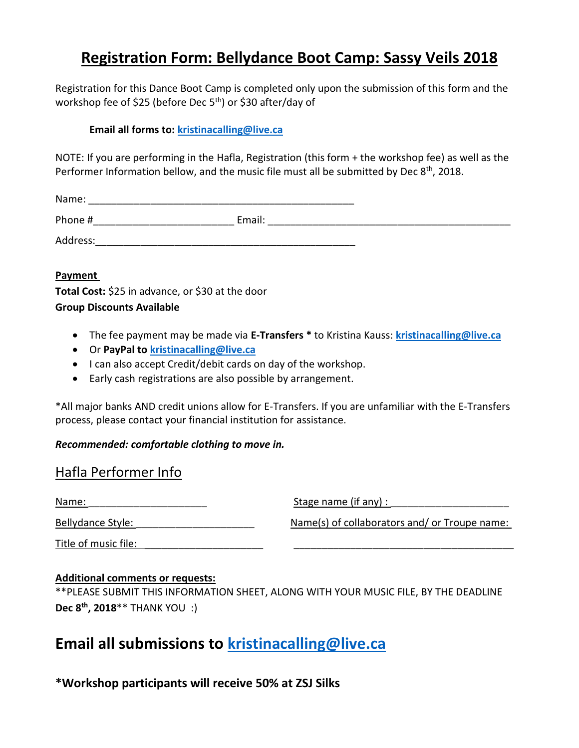## **Registration Form: Bellydance Boot Camp: Sassy Veils 2018**

Registration for this Dance Boot Camp is completed only upon the submission of this form and the workshop fee of \$25 (before Dec 5<sup>th</sup>) or \$30 after/day of

### **Email all forms to: [kristinacalling@live.ca](mailto:kristinacalling@live.ca)**

NOTE: If you are performing in the Hafla, Registration (this form + the workshop fee) as well as the Performer Information bellow, and the music file must all be submitted by Dec 8<sup>th</sup>, 2018.

Name:  $\blacksquare$ 

| Dh |  |
|----|--|
|    |  |

Address:\_\_\_\_\_\_\_\_\_\_\_\_\_\_\_\_\_\_\_\_\_\_\_\_\_\_\_\_\_\_\_\_\_\_\_\_\_\_\_\_\_\_\_\_\_\_

### **Payment**

**Total Cost:** \$25 in advance, or \$30 at the door **Group Discounts Available**

- The fee payment may be made via **E-Transfers \*** to Kristina Kauss: **[kristinacalling@live.ca](mailto:kristinacalling@live.ca)**
- Or **PayPal to [kristinacalling@live.ca](mailto:kristinacalling@live.ca)**
- I can also accept Credit/debit cards on day of the workshop.
- Early cash registrations are also possible by arrangement.

\*All major banks AND credit unions allow for E-Transfers. If you are unfamiliar with the E-Transfers process, please contact your financial institution for assistance.

### *Recommended: comfortable clothing to move in.*

### Hafla Performer Info

| Name:                | Stage name (if any) :                        |  |
|----------------------|----------------------------------------------|--|
| Bellydance Style:    | Name(s) of collaborators and/or Troupe name: |  |
| Title of music file: |                                              |  |

### **Additional comments or requests:**

\*\*PLEASE SUBMIT THIS INFORMATION SHEET, ALONG WITH YOUR MUSIC FILE, BY THE DEADLINE **Dec 8th, 2018**\*\* THANK YOU :)

# **Email all submissions to [kristinacalling@live.ca](mailto:kristinacalling@live.ca)**

**\*Workshop participants will receive 50% at ZSJ Silks**